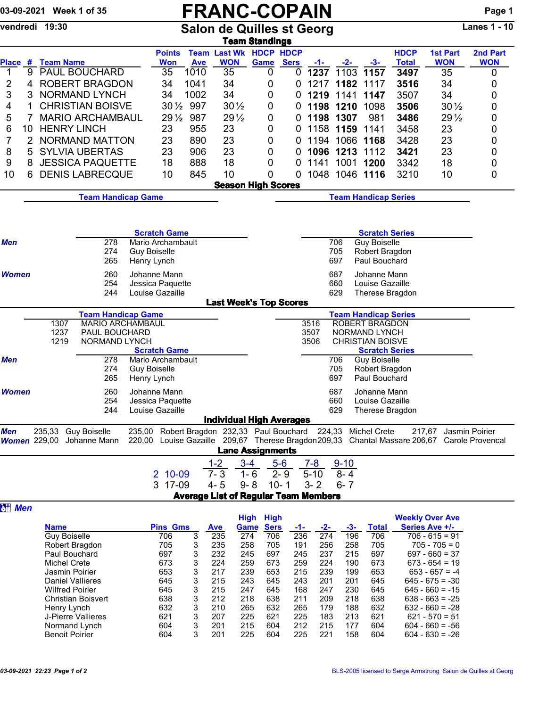## 03-09-2021 Week 1 of 35  $\begin{array}{c|c|c}\n\textbf{FRANC-COPAIN} & \textbf{Page 1} \\
\hline\n\textbf{Example 19:30} & \textbf{Salon de Quilles st Georg}\n\end{array}$

Salon de Quilles st Georg

|                   |                                |                                                                                                                       |                                            |                        |                                                                                                                                              | <b>Team Standings</b>                       |                  |                          |              |                                                  |              |                                        |                |
|-------------------|--------------------------------|-----------------------------------------------------------------------------------------------------------------------|--------------------------------------------|------------------------|----------------------------------------------------------------------------------------------------------------------------------------------|---------------------------------------------|------------------|--------------------------|--------------|--------------------------------------------------|--------------|----------------------------------------|----------------|
|                   |                                |                                                                                                                       | <b>Points</b>                              |                        |                                                                                                                                              | <b>Team Last Wk HDCP HDCP</b>               |                  |                          |              |                                                  | <b>HDCP</b>  | <b>1st Part</b>                        | 2nd Part       |
| <b>Place</b><br>9 | # Team Name                    | <b>PAUL BOUCHARD</b>                                                                                                  | <b>Won</b><br>35                           | <b>Ave</b><br>1010     | <b>WON</b><br>35                                                                                                                             | Game                                        | <b>Sers</b><br>0 | <u>-1-</u>               | $-2-$        | $-3-$                                            | <b>Total</b> | <b>WON</b><br>35                       | <b>WON</b>     |
| 1<br>2<br>4       |                                | <b>ROBERT BRAGDON</b>                                                                                                 | 34                                         | 1041                   | 34                                                                                                                                           |                                             | 0<br>0<br>0      | 1237<br>1217             | 1103<br>1182 | 1157<br>1117                                     | 3497<br>3516 | 34                                     | 0              |
|                   |                                |                                                                                                                       | 34                                         | 1002                   | 34                                                                                                                                           |                                             |                  | 1219                     |              |                                                  |              |                                        | 0              |
| 3<br>3            |                                | NORMAND LYNCH                                                                                                         |                                            |                        |                                                                                                                                              |                                             | 0<br>0           |                          | 1141         | 1147                                             | 3507         | 34                                     | 0              |
| 1<br>4            |                                | <b>CHRISTIAN BOISVE</b>                                                                                               |                                            | $30\frac{1}{2}$<br>997 |                                                                                                                                              | $30\frac{1}{2}$                             | 0<br>0           |                          | 1198 1210    | 1098                                             | 3506         | $30\frac{1}{2}$                        | 0              |
| 5<br>7            |                                | <b>MARIO ARCHAMBAUL</b>                                                                                               |                                            | 987<br>$29\frac{1}{2}$ |                                                                                                                                              | $29\frac{1}{2}$                             | 0<br>0           |                          | 1198 1307    | 981                                              | 3486         | $29\frac{1}{2}$                        | 0              |
| 6<br>10           |                                | <b>HENRY LINCH</b>                                                                                                    | 23                                         | 955                    | 23                                                                                                                                           |                                             | 0<br>0           |                          | 1158 1159    | 1141                                             | 3458         | 23                                     | 0              |
| 7<br>2            |                                | <b>NORMAND MATTON</b>                                                                                                 | 23                                         | 890                    | 23                                                                                                                                           |                                             | 0<br>0           | 1194                     | 1066         | 1168                                             | 3428         | 23                                     | 0              |
| 8<br>5            |                                | <b>SYLVIA UBERTAS</b>                                                                                                 | 23                                         | 906                    | 23                                                                                                                                           |                                             | 0<br>0           | 1096                     | 1213         | 1112                                             | 3421         | 23                                     | 0              |
| 9<br>8            |                                | <b>JESSICA PAQUETTE</b>                                                                                               | 18                                         | 888                    | 18                                                                                                                                           |                                             | 0<br>0           | 1141                     | 1001         | 1200                                             | 3342         | 18                                     | 0              |
| 10<br>6           |                                | <b>DENIS LABRECQUE</b>                                                                                                | 10                                         | 845                    | 10                                                                                                                                           |                                             | 0<br>0           | 1048                     | 1046         | 1116                                             | 3210         | 10                                     | 0              |
|                   |                                |                                                                                                                       |                                            |                        |                                                                                                                                              | <b>Season High Scores</b>                   |                  |                          |              |                                                  |              |                                        |                |
|                   |                                | <b>Team Handicap Game</b>                                                                                             |                                            |                        |                                                                                                                                              |                                             |                  |                          |              | <b>Team Handicap Series</b>                      |              |                                        |                |
|                   |                                |                                                                                                                       |                                            |                        |                                                                                                                                              |                                             |                  |                          |              |                                                  |              |                                        |                |
|                   |                                |                                                                                                                       |                                            |                        |                                                                                                                                              |                                             |                  |                          |              |                                                  |              |                                        |                |
|                   |                                |                                                                                                                       | <b>Scratch Game</b>                        |                        |                                                                                                                                              |                                             |                  |                          |              | <b>Scratch Series</b>                            |              |                                        |                |
| <b>Men</b>        |                                | 278<br>274                                                                                                            | Mario Archambault<br><b>Guy Boiselle</b>   |                        |                                                                                                                                              |                                             |                  |                          | 706<br>705   | <b>Guy Boiselle</b><br>Robert Bragdon            |              |                                        |                |
|                   |                                | 265                                                                                                                   | Henry Lynch                                |                        |                                                                                                                                              |                                             |                  |                          | 697          | Paul Bouchard                                    |              |                                        |                |
| <b>Women</b>      |                                | 260                                                                                                                   | Johanne Mann                               |                        |                                                                                                                                              |                                             |                  |                          | 687          | Johanne Mann                                     |              |                                        |                |
|                   |                                | 254                                                                                                                   | Jessica Paquette                           |                        |                                                                                                                                              |                                             |                  |                          | 660          | Louise Gazaille                                  |              |                                        |                |
|                   |                                | 244                                                                                                                   | Louise Gazaille                            |                        |                                                                                                                                              |                                             |                  |                          | 629          | Therese Bragdon                                  |              |                                        |                |
|                   |                                |                                                                                                                       |                                            |                        |                                                                                                                                              | <b>Last Week's Top Scores</b>               |                  |                          |              |                                                  |              |                                        |                |
|                   |                                | <b>Team Handicap Game</b>                                                                                             |                                            |                        |                                                                                                                                              |                                             |                  |                          |              | <b>Team Handicap Series</b>                      |              |                                        |                |
|                   | 1307                           |                                                                                                                       | <b>MARIO ARCHAMBAUL</b>                    |                        |                                                                                                                                              |                                             |                  | 3516                     |              | <b>ROBERT BRAGDON</b>                            |              |                                        |                |
|                   | 1237                           | PAUL BOUCHARD                                                                                                         |                                            |                        |                                                                                                                                              |                                             |                  | 3507                     |              | NORMAND LYNCH                                    |              |                                        |                |
|                   | 1219                           | NORMAND LYNCH                                                                                                         | <b>Scratch Game</b>                        |                        |                                                                                                                                              |                                             |                  | 3506                     |              | <b>CHRISTIAN BOISVE</b><br><b>Scratch Series</b> |              |                                        |                |
| <b>Men</b>        |                                | 278                                                                                                                   | Mario Archambault                          |                        |                                                                                                                                              |                                             |                  |                          | 706          | <b>Guy Boiselle</b>                              |              |                                        |                |
|                   |                                | 274                                                                                                                   | <b>Guy Boiselle</b>                        |                        |                                                                                                                                              |                                             |                  |                          | 705          | Robert Bragdon                                   |              |                                        |                |
|                   |                                | 265                                                                                                                   | Henry Lynch                                |                        |                                                                                                                                              |                                             |                  |                          | 697          | Paul Bouchard                                    |              |                                        |                |
| <b>Women</b>      |                                | 260                                                                                                                   | Johanne Mann                               |                        |                                                                                                                                              |                                             |                  |                          | 687          | Johanne Mann                                     |              |                                        |                |
|                   |                                | 254                                                                                                                   | Jessica Paquette                           |                        |                                                                                                                                              |                                             |                  |                          | 660          | Louise Gazaille                                  |              |                                        |                |
|                   |                                | 244                                                                                                                   | Louise Gazaille                            |                        |                                                                                                                                              |                                             |                  |                          | 629          | Therese Bragdon                                  |              |                                        |                |
|                   |                                |                                                                                                                       |                                            |                        |                                                                                                                                              | <b>Individual High Averages</b>             |                  |                          |              |                                                  |              |                                        |                |
| <b>Men</b>        | 235,33                         | <b>Guy Boiselle</b>                                                                                                   | 235,00 Robert Bragdon 232,33 Paul Bouchard |                        |                                                                                                                                              |                                             |                  |                          | 224,33       | <b>Michel Crete</b>                              |              | 217,67                                 | Jasmin Poirier |
|                   |                                | Women 229,00 Johanne Mann 220,00 Louise Gazaille 209,67 Therese Bragdon209,33 Chantal Massare 206,67 Carole Provencal |                                            |                        |                                                                                                                                              |                                             |                  |                          |              |                                                  |              |                                        |                |
|                   |                                |                                                                                                                       |                                            |                        |                                                                                                                                              | <b>Lane Assignments</b>                     |                  |                          |              |                                                  |              |                                        |                |
|                   |                                |                                                                                                                       |                                            |                        | $1-2$                                                                                                                                        | $3 - 4$                                     | $5-6$            | $7 - 8$                  | $9 - 10$     |                                                  |              |                                        |                |
|                   |                                |                                                                                                                       | 2 10-09                                    |                        | $7 - 3$                                                                                                                                      | $1 - 6$                                     | $2 - 9$          | $5 - 10$                 | $8 - 4$      |                                                  |              |                                        |                |
|                   |                                |                                                                                                                       | 3 17-09                                    |                        | $4 - 5$                                                                                                                                      | $9 - 8$                                     | $10 - 1$         | $3 - 2$                  | $6 - 7$      |                                                  |              |                                        |                |
|                   |                                |                                                                                                                       |                                            |                        |                                                                                                                                              | <b>Average List of Regular Team Members</b> |                  |                          |              |                                                  |              |                                        |                |
| <b>att Men</b>    |                                |                                                                                                                       |                                            |                        |                                                                                                                                              |                                             |                  |                          |              |                                                  |              |                                        |                |
|                   | <b>Pins Gms</b><br><b>Name</b> |                                                                                                                       |                                            |                        | <b>Weekly Over Ave</b><br><b>High High</b><br>$-3-$<br><b>Total</b><br><b>Sers</b><br>$-2-$<br>Series Ave +/-<br><b>Ave</b><br>Game<br>$-1-$ |                                             |                  |                          |              |                                                  |              |                                        |                |
|                   |                                | <b>Guy Boiselle</b>                                                                                                   | 706                                        | $\overline{3}$         | 235                                                                                                                                          | 274                                         | 706              | 236<br>274               | 196          | 706                                              |              | $706 - 615 = 91$                       |                |
|                   |                                | Robert Bragdon                                                                                                        | 705                                        | 3                      | 235                                                                                                                                          | 258                                         | 705              | 191<br>256               | 258          | 705                                              |              | $705 - 705 = 0$                        |                |
|                   |                                | Paul Bouchard                                                                                                         | 697                                        | 3                      | 232                                                                                                                                          | 245                                         | 697              | 237<br>245               | 215          | 697                                              |              | $697 - 660 = 37$                       |                |
|                   |                                | <b>Michel Crete</b>                                                                                                   | 673                                        | 3                      | 224                                                                                                                                          | 259                                         | 673              | 259<br>224               | 190          | 673                                              |              | $673 - 654 = 19$                       |                |
|                   |                                | Jasmin Poirier                                                                                                        | 653                                        | 3                      | 217                                                                                                                                          | 239                                         | 653              | 215<br>239               | 199          | 653                                              |              | $653 - 657 = -4$                       |                |
|                   |                                | <b>Daniel Vallieres</b><br><b>Wilfred Poirier</b>                                                                     | 645<br>645                                 | 3<br>3                 | 215<br>215                                                                                                                                   | 243<br>247                                  | 645<br>645       | 243<br>201<br>247<br>168 | 201<br>230   | 645<br>645                                       |              | $645 - 675 = -30$<br>$645 - 660 = -15$ |                |
|                   |                                | <b>Christian Boisvert</b>                                                                                             | 638                                        | 3                      | 212                                                                                                                                          | 218                                         | 638              | 211<br>209               | 218          | 638                                              |              | $638 - 663 = -25$                      |                |
|                   |                                | Henry Lynch                                                                                                           | 632                                        | 3                      | 210                                                                                                                                          | 265                                         | 632              | 265<br>179               | 188          | 632                                              |              | $632 - 660 = -28$                      |                |
|                   |                                | J-Pierre Vallieres                                                                                                    | 621                                        | 3                      | 207                                                                                                                                          | 225                                         | 621              | 225<br>183               | 213          | 621                                              |              | $621 - 570 = 51$                       |                |

Normand Lynch 604 3 201 215 604 212 215 177 604 604 - 660 = -56 Benoit Poirier 604 3 201 225 604 225 221 158 604 604 - 630 = -26